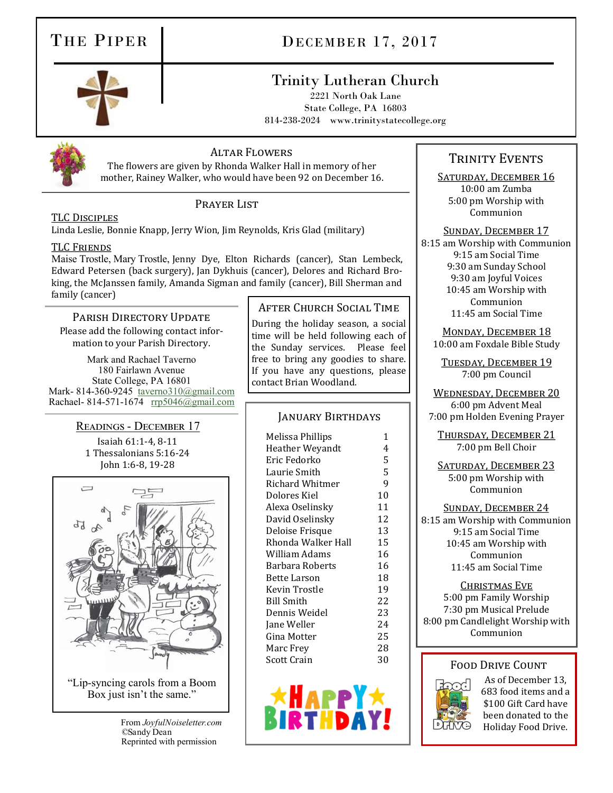# THE PIPER DECEMBER 17, 2017

# Trinity Lutheran Church

2221 North Oak Lane State College, PA 16803 814-238-2024 www.trinitystatecollege.org



## Altar Flowers

The flowers are given by Rhonda Walker Hall in memory of her mother, Rainey Walker, who would have been 92 on December 16.

## PRAYER LIST

Linda Leslie, Bonnie Knapp, Jerry Wion, Jim Reynolds, Kris Glad (military)

### **TLC FRIENDS**

Maise Trostle, Mary Trostle, Jenny Dye, Elton Richards (cancer), Stan Lembeck, Edward Petersen (back surgery), Jan Dykhuis (cancer), Delores and Richard Broking, the McJanssen family, Amanda Sigman and family (cancer), Bill Sherman and family (cancer)

## PARISH DIRECTORY UPDATE

Please add the following contact information to your Parish Directory.

Mark and Rachael Taverno 180 Fairlawn Avenue State College, PA 16801 Mark- 814-360-9245 [taverno310@gmail.com](mailto:taverno310@gmail.com) Rachael- 814-571-1674 [rrp5046@gmail.com](mailto:rrp5046@gmail.com)

Readings - December 17

Isaiah 61:1-4, 8-11 1 Thessalonians 5:16-24 John 1:6-8, 19-28



 From *JoyfulNoiseletter.com ©*Sandy Dean Reprinted with permission

TLC Disciples

## After Church Social Time

During the holiday season, a social time will be held following each of the Sunday services. Please feel free to bring any goodies to share. If you have any questions, please contact Brian Woodland.

## January Birthdays

Melissa Phillips 1 Heather Weyandt 4 Eric Fedorko 5 Laurie Smith 5 Richard Whitmer 9 Dolores Kiel 10 Alexa Oselinsky 11 David Oselinsky 12 Deloise Frisque 13 Rhonda Walker Hall 15 William Adams 16 Barbara Roberts 16 Bette Larson 18 Kevin Trostle 19 Bill Smith 22 Dennis Weidel 23 Jane Weller 24 Gina Motter 25 Marc Frey 28 Scott Crain 30



## TRINITY EVENTS

SATURDAY, DECEMBER 16 10:00 am Zumba 5:00 pm Worship with Communion

Sunday, December 17

8:15 am Worship with Communion 9:15 am Social Time 9:30 am Sunday School 9:30 am Joyful Voices 10:45 am Worship with Communion 11:45 am Social Time

MONDAY, DECEMBER 18 10:00 am Foxdale Bible Study

Tuesday, December 19 7:00 pm Council

Wednesday, December 20 6:00 pm Advent Meal 7:00 pm Holden Evening Prayer

Thursday, December 21 7:00 pm Bell Choir

SATURDAY, DECEMBER 23 5:00 pm Worship with Communion

Sunday, December 24 8:15 am Worship with Communion 9:15 am Social Time 10:45 am Worship with Communion 11:45 am Social Time

Christmas Eve 5:00 pm Family Worship 7:30 pm Musical Prelude 8:00 pm Candlelight Worship with Communion

## Food Drive Count



As of December 13, 683 food items and a \$100 Gift Card have been donated to the Holiday Food Drive.